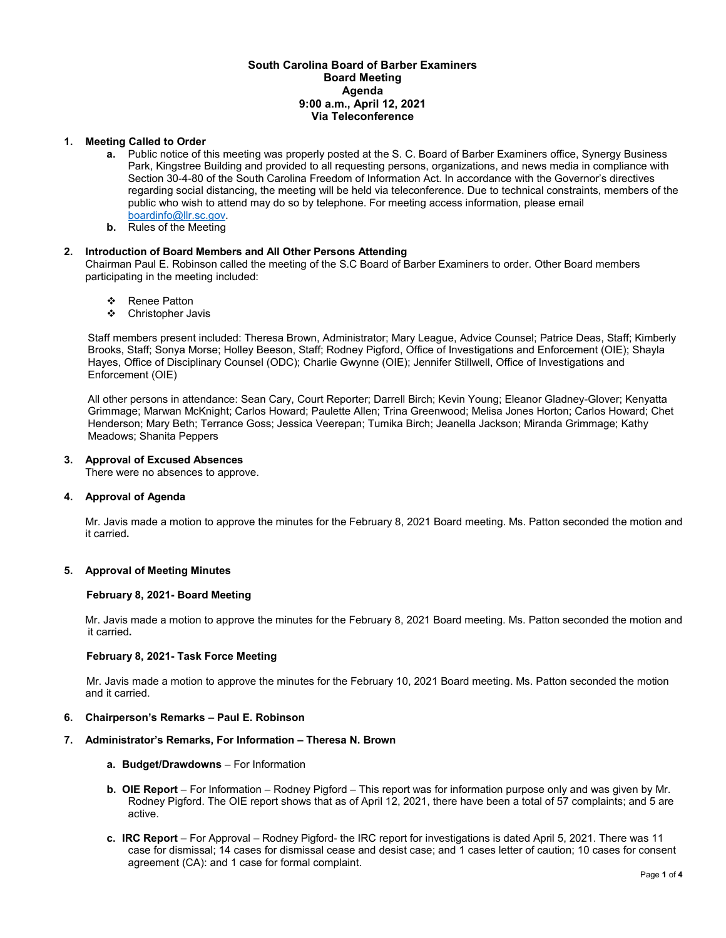## **South Carolina Board of Barber Examiners Board Meeting Agenda 9:00 a.m., April 12, 2021 Via Teleconference**

## **1. Meeting Called to Order**

- **a.** Public notice of this meeting was properly posted at the S. C. Board of Barber Examiners office, Synergy Business Park, Kingstree Building and provided to all requesting persons, organizations, and news media in compliance with Section 30-4-80 of the South Carolina Freedom of Information Act. In accordance with the Governor's directives regarding social distancing, the meeting will be held via teleconference. Due to technical constraints, members of the public who wish to attend may do so by telephone. For meeting access information, please email [boardinfo@llr.sc.gov.](mailto:boardinfo@llr.sc.gov)
- **b.** Rules of the Meeting

### **2. Introduction of Board Members and All Other Persons Attending**

Chairman Paul E. Robinson called the meeting of the S.C Board of Barber Examiners to order. Other Board members participating in the meeting included:

- ❖ Renee Patton
- Christopher Javis

Staff members present included: Theresa Brown, Administrator; Mary League, Advice Counsel; Patrice Deas, Staff; Kimberly Brooks, Staff; Sonya Morse; Holley Beeson, Staff; Rodney Pigford, Office of Investigations and Enforcement (OIE); Shayla Hayes, Office of Disciplinary Counsel (ODC); Charlie Gwynne (OIE); Jennifer Stillwell, Office of Investigations and Enforcement (OIE)

All other persons in attendance: Sean Cary, Court Reporter; Darrell Birch; Kevin Young; Eleanor Gladney-Glover; Kenyatta Grimmage; Marwan McKnight; Carlos Howard; Paulette Allen; Trina Greenwood; Melisa Jones Horton; Carlos Howard; Chet Henderson; Mary Beth; Terrance Goss; Jessica Veerepan; Tumika Birch; Jeanella Jackson; Miranda Grimmage; Kathy Meadows; Shanita Peppers

### **3. Approval of Excused Absences**

There were no absences to approve.

## **4. Approval of Agenda**

Mr. Javis made a motion to approve the minutes for the February 8, 2021 Board meeting. Ms. Patton seconded the motion and it carried**.** 

## **5. Approval of Meeting Minutes**

### **February 8, 2021- Board Meeting**

Mr. Javis made a motion to approve the minutes for the February 8, 2021 Board meeting. Ms. Patton seconded the motion and it carried**.** 

### **February 8, 2021- Task Force Meeting**

Mr. Javis made a motion to approve the minutes for the February 10, 2021 Board meeting. Ms. Patton seconded the motion and it carried.

### **6. Chairperson's Remarks – Paul E. Robinson**

# **7. Administrator's Remarks, For Information – Theresa N. Brown**

- **a. Budget/Drawdowns** For Information
- **b. OIE Report**  For Information Rodney Pigford This report was for information purpose only and was given by Mr. Rodney Pigford. The OIE report shows that as of April 12, 2021, there have been a total of 57 complaints; and 5 are active.
- **c. IRC Report**  For Approval Rodney Pigford- the IRC report for investigations is dated April 5, 2021. There was 11 case for dismissal; 14 cases for dismissal cease and desist case; and 1 cases letter of caution; 10 cases for consent agreement (CA): and 1 case for formal complaint.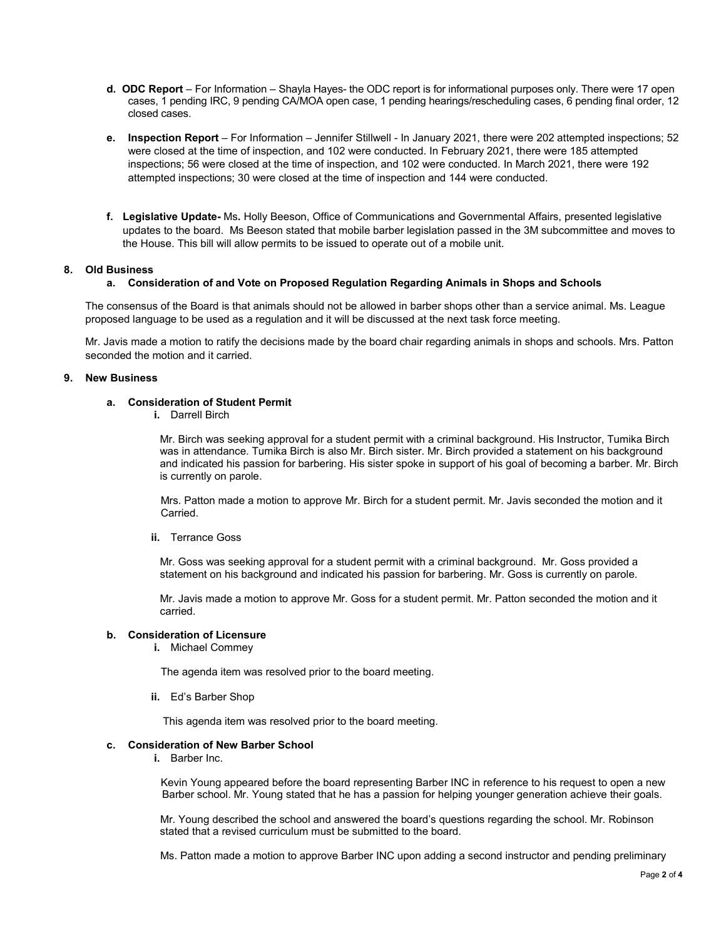- **d. ODC Report**  For Information Shayla Hayes- the ODC report is for informational purposes only. There were 17 open cases, 1 pending IRC, 9 pending CA/MOA open case, 1 pending hearings/rescheduling cases, 6 pending final order, 12 closed cases.
- **e. Inspection Report** For Information Jennifer Stillwell In January 2021, there were 202 attempted inspections; 52 were closed at the time of inspection, and 102 were conducted. In February 2021, there were 185 attempted inspections; 56 were closed at the time of inspection, and 102 were conducted. In March 2021, there were 192 attempted inspections; 30 were closed at the time of inspection and 144 were conducted.
- **f. Legislative Update-** Ms**.** Holly Beeson, Office of Communications and Governmental Affairs, presented legislative updates to the board. Ms Beeson stated that mobile barber legislation passed in the 3M subcommittee and moves to the House. This bill will allow permits to be issued to operate out of a mobile unit.

## **8. Old Business**

### **a. Consideration of and Vote on Proposed Regulation Regarding Animals in Shops and Schools**

The consensus of the Board is that animals should not be allowed in barber shops other than a service animal. Ms. League proposed language to be used as a regulation and it will be discussed at the next task force meeting.

Mr. Javis made a motion to ratify the decisions made by the board chair regarding animals in shops and schools. Mrs. Patton seconded the motion and it carried.

### **9. New Business**

# **a. Consideration of Student Permit**

**i.** Darrell Birch

Mr. Birch was seeking approval for a student permit with a criminal background. His Instructor, Tumika Birch was in attendance. Tumika Birch is also Mr. Birch sister. Mr. Birch provided a statement on his background and indicated his passion for barbering. His sister spoke in support of his goal of becoming a barber. Mr. Birch is currently on parole.

 Mrs. Patton made a motion to approve Mr. Birch for a student permit. Mr. Javis seconded the motion and it Carried.

### **ii.** Terrance Goss

Mr. Goss was seeking approval for a student permit with a criminal background. Mr. Goss provided a statement on his background and indicated his passion for barbering. Mr. Goss is currently on parole.

Mr. Javis made a motion to approve Mr. Goss for a student permit. Mr. Patton seconded the motion and it carried.

### **b. Consideration of Licensure**

**i.** Michael Commey

The agenda item was resolved prior to the board meeting.

**ii.** Ed's Barber Shop

This agenda item was resolved prior to the board meeting.

### **c. Consideration of New Barber School**

**i.** Barber Inc.

 Kevin Young appeared before the board representing Barber INC in reference to his request to open a new Barber school. Mr. Young stated that he has a passion for helping younger generation achieve their goals.

 Mr. Young described the school and answered the board's questions regarding the school. Mr. Robinson stated that a revised curriculum must be submitted to the board.

Ms. Patton made a motion to approve Barber INC upon adding a second instructor and pending preliminary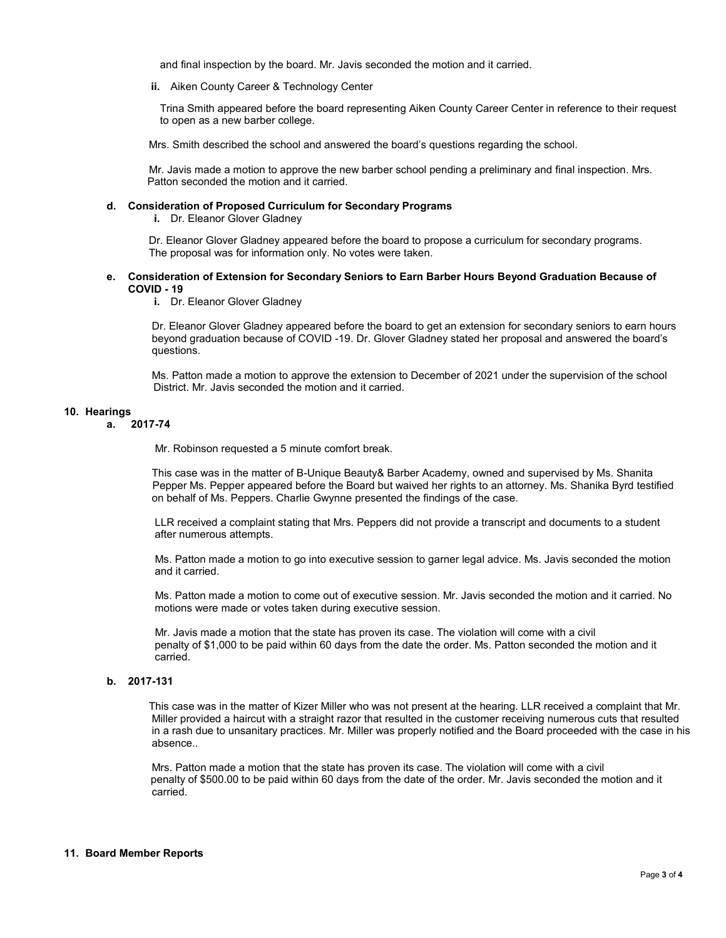and final inspection by the board. Mr. Javis seconded the motion and it carried.

**ii.** Aiken County Career & Technology Center

Trina Smith appeared before the board representing Aiken County Career Center in reference to their request to open as a new barber college.

Mrs. Smith described the school and answered the board's questions regarding the school.

 Mr. Javis made a motion to approve the new barber school pending a preliminary and final inspection. Mrs. Patton seconded the motion and it carried.

#### **d. Consideration of Proposed Curriculum for Secondary Programs**

**i.** Dr. Eleanor Glover Gladney

 Dr. Eleanor Glover Gladney appeared before the board to propose a curriculum for secondary programs. The proposal was for information only. No votes were taken.

### **e. Consideration of Extension for Secondary Seniors to Earn Barber Hours Beyond Graduation Because of COVID - 19**

**i.** Dr. Eleanor Glover Gladney

 Dr. Eleanor Glover Gladney appeared before the board to get an extension for secondary seniors to earn hours beyond graduation because of COVID -19. Dr. Glover Gladney stated her proposal and answered the board's questions.

 Ms. Patton made a motion to approve the extension to December of 2021 under the supervision of the school District. Mr. Javis seconded the motion and it carried.

#### **10. Hearings**

**a. 2017-74**

Mr. Robinson requested a 5 minute comfort break.

 This case was in the matter of B-Unique Beauty& Barber Academy, owned and supervised by Ms. Shanita Pepper Ms. Pepper appeared before the Board but waived her rights to an attorney. Ms. Shanika Byrd testified on behalf of Ms. Peppers. Charlie Gwynne presented the findings of the case.

 LLR received a complaint stating that Mrs. Peppers did not provide a transcript and documents to a student after numerous attempts.

 Ms. Patton made a motion to go into executive session to garner legal advice. Ms. Javis seconded the motion and it carried.

 Ms. Patton made a motion to come out of executive session. Mr. Javis seconded the motion and it carried. No motions were made or votes taken during executive session.

 Mr. Javis made a motion that the state has proven its case. The violation will come with a civil penalty of \$1,000 to be paid within 60 days from the date the order. Ms. Patton seconded the motion and it carried.

# **b. 2017-131**

This case was in the matter of Kizer Miller who was not present at the hearing. LLR received a complaint that Mr. Miller provided a haircut with a straight razor that resulted in the customer receiving numerous cuts that resulted in a rash due to unsanitary practices. Mr. Miller was properly notified and the Board proceeded with the case in his absence..

 Mrs. Patton made a motion that the state has proven its case. The violation will come with a civil penalty of \$500.00 to be paid within 60 days from the date of the order. Mr. Javis seconded the motion and it carried.

### **11. Board Member Reports**